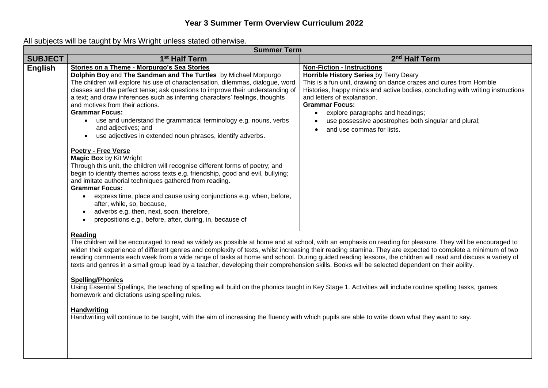# **Year 3 Summer Term Overview Curriculum 2022**

| www.composition.com was constructed and the component will be constructed with the construction of the construction of the construction of the construction of the construction of the construction of the construction of the<br><b>Summer Term</b> |                                                                                                                                                                                                                                                                                                                                                                                                                                                                                                                                                                                                                                                                                                                                                                                                                                                                                                                                                                                                                                                                                                                                                          |                                                                                                                                                                                                                                                                                                                                                                                                                                                 |  |  |
|------------------------------------------------------------------------------------------------------------------------------------------------------------------------------------------------------------------------------------------------------|----------------------------------------------------------------------------------------------------------------------------------------------------------------------------------------------------------------------------------------------------------------------------------------------------------------------------------------------------------------------------------------------------------------------------------------------------------------------------------------------------------------------------------------------------------------------------------------------------------------------------------------------------------------------------------------------------------------------------------------------------------------------------------------------------------------------------------------------------------------------------------------------------------------------------------------------------------------------------------------------------------------------------------------------------------------------------------------------------------------------------------------------------------|-------------------------------------------------------------------------------------------------------------------------------------------------------------------------------------------------------------------------------------------------------------------------------------------------------------------------------------------------------------------------------------------------------------------------------------------------|--|--|
| <b>SUBJECT</b>                                                                                                                                                                                                                                       | 1 <sup>st</sup> Half Term                                                                                                                                                                                                                                                                                                                                                                                                                                                                                                                                                                                                                                                                                                                                                                                                                                                                                                                                                                                                                                                                                                                                | 2 <sup>nd</sup> Half Term                                                                                                                                                                                                                                                                                                                                                                                                                       |  |  |
| <b>English</b>                                                                                                                                                                                                                                       | Stories on a Theme - Morpurgo's Sea Stories<br>Dolphin Boy and The Sandman and The Turtles by Michael Morpurgo<br>The children will explore his use of characterisation, dilemmas, dialogue, word<br>classes and the perfect tense; ask questions to improve their understanding of<br>a text; and draw inferences such as inferring characters' feelings, thoughts<br>and motives from their actions.<br><b>Grammar Focus:</b><br>use and understand the grammatical terminology e.g. nouns, verbs<br>$\bullet$<br>and adjectives; and<br>use adjectives in extended noun phrases, identify adverbs.<br>$\bullet$<br><b>Poetry - Free Verse</b><br><b>Magic Box by Kit Wright</b><br>Through this unit, the children will recognise different forms of poetry; and<br>begin to identify themes across texts e.g. friendship, good and evil, bullying;<br>and imitate authorial techniques gathered from reading.<br><b>Grammar Focus:</b><br>express time, place and cause using conjunctions e.g. when, before,<br>after, while, so, because,<br>adverbs e.g. then, next, soon, therefore,<br>prepositions e.g., before, after, during, in, because of | <b>Non-Fiction - Instructions</b><br>Horrible History Series by Terry Deary<br>This is a fun unit, drawing on dance crazes and cures from Horrible<br>Histories, happy minds and active bodies, concluding with writing instructions<br>and letters of explanation.<br><b>Grammar Focus:</b><br>explore paragraphs and headings;<br>$\bullet$<br>use possessive apostrophes both singular and plural;<br>and use commas for lists.<br>$\bullet$ |  |  |
|                                                                                                                                                                                                                                                      | Reading<br>The children will be encouraged to read as widely as possible at home and at school, with an emphasis on reading for pleasure. They will be encouraged to<br>widen their experience of different genres and complexity of texts, whilst increasing their reading stamina. They are expected to complete a minimum of two<br>reading comments each week from a wide range of tasks at home and school. During guided reading lessons, the children will read and discuss a variety of<br>texts and genres in a small group lead by a teacher, developing their comprehension skills. Books will be selected dependent on their ability.<br><b>Spelling/Phonics</b><br>Using Essential Spellings, the teaching of spelling will build on the phonics taught in Key Stage 1. Activities will include routine spelling tasks, games,<br>homework and dictations using spelling rules.                                                                                                                                                                                                                                                             |                                                                                                                                                                                                                                                                                                                                                                                                                                                 |  |  |
|                                                                                                                                                                                                                                                      | Handwriting<br>Handwriting will continue to be taught, with the aim of increasing the fluency with which pupils are able to write down what they want to say.                                                                                                                                                                                                                                                                                                                                                                                                                                                                                                                                                                                                                                                                                                                                                                                                                                                                                                                                                                                            |                                                                                                                                                                                                                                                                                                                                                                                                                                                 |  |  |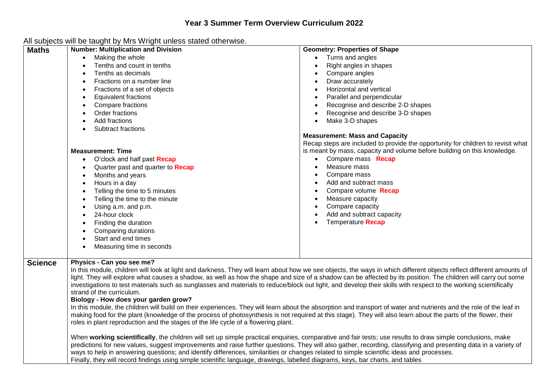# **Year 3 Summer Term Overview Curriculum 2022**

| <b>Maths</b>   | <b>Number: Multiplication and Division</b>                                                                                                                                                                                                                                                                                                                                                                                                                                                                                                                                                                                                                                                                                                                                                                                                                                                                                                                                                                                                                                                                                                                                                                                                                                                                                                                                                                                                                                                                                                                                                                                                                  | <b>Geometry: Properties of Shape</b>                                             |
|----------------|-------------------------------------------------------------------------------------------------------------------------------------------------------------------------------------------------------------------------------------------------------------------------------------------------------------------------------------------------------------------------------------------------------------------------------------------------------------------------------------------------------------------------------------------------------------------------------------------------------------------------------------------------------------------------------------------------------------------------------------------------------------------------------------------------------------------------------------------------------------------------------------------------------------------------------------------------------------------------------------------------------------------------------------------------------------------------------------------------------------------------------------------------------------------------------------------------------------------------------------------------------------------------------------------------------------------------------------------------------------------------------------------------------------------------------------------------------------------------------------------------------------------------------------------------------------------------------------------------------------------------------------------------------------|----------------------------------------------------------------------------------|
|                | Making the whole                                                                                                                                                                                                                                                                                                                                                                                                                                                                                                                                                                                                                                                                                                                                                                                                                                                                                                                                                                                                                                                                                                                                                                                                                                                                                                                                                                                                                                                                                                                                                                                                                                            | Turns and angles<br>$\bullet$                                                    |
|                | Tenths and count in tenths                                                                                                                                                                                                                                                                                                                                                                                                                                                                                                                                                                                                                                                                                                                                                                                                                                                                                                                                                                                                                                                                                                                                                                                                                                                                                                                                                                                                                                                                                                                                                                                                                                  | Right angles in shapes                                                           |
|                | Tenths as decimals                                                                                                                                                                                                                                                                                                                                                                                                                                                                                                                                                                                                                                                                                                                                                                                                                                                                                                                                                                                                                                                                                                                                                                                                                                                                                                                                                                                                                                                                                                                                                                                                                                          | Compare angles                                                                   |
|                | Fractions on a number line                                                                                                                                                                                                                                                                                                                                                                                                                                                                                                                                                                                                                                                                                                                                                                                                                                                                                                                                                                                                                                                                                                                                                                                                                                                                                                                                                                                                                                                                                                                                                                                                                                  | Draw accurately                                                                  |
|                | Fractions of a set of objects<br>$\bullet$                                                                                                                                                                                                                                                                                                                                                                                                                                                                                                                                                                                                                                                                                                                                                                                                                                                                                                                                                                                                                                                                                                                                                                                                                                                                                                                                                                                                                                                                                                                                                                                                                  | Horizontal and vertical<br>$\bullet$                                             |
|                | <b>Equivalent fractions</b><br>$\bullet$                                                                                                                                                                                                                                                                                                                                                                                                                                                                                                                                                                                                                                                                                                                                                                                                                                                                                                                                                                                                                                                                                                                                                                                                                                                                                                                                                                                                                                                                                                                                                                                                                    | Parallel and perpendicular                                                       |
|                | Compare fractions                                                                                                                                                                                                                                                                                                                                                                                                                                                                                                                                                                                                                                                                                                                                                                                                                                                                                                                                                                                                                                                                                                                                                                                                                                                                                                                                                                                                                                                                                                                                                                                                                                           | Recognise and describe 2-D shapes                                                |
|                | Order fractions                                                                                                                                                                                                                                                                                                                                                                                                                                                                                                                                                                                                                                                                                                                                                                                                                                                                                                                                                                                                                                                                                                                                                                                                                                                                                                                                                                                                                                                                                                                                                                                                                                             | Recognise and describe 3-D shapes                                                |
|                | Add fractions                                                                                                                                                                                                                                                                                                                                                                                                                                                                                                                                                                                                                                                                                                                                                                                                                                                                                                                                                                                                                                                                                                                                                                                                                                                                                                                                                                                                                                                                                                                                                                                                                                               | Make 3-D shapes                                                                  |
|                | Subtract fractions                                                                                                                                                                                                                                                                                                                                                                                                                                                                                                                                                                                                                                                                                                                                                                                                                                                                                                                                                                                                                                                                                                                                                                                                                                                                                                                                                                                                                                                                                                                                                                                                                                          |                                                                                  |
|                |                                                                                                                                                                                                                                                                                                                                                                                                                                                                                                                                                                                                                                                                                                                                                                                                                                                                                                                                                                                                                                                                                                                                                                                                                                                                                                                                                                                                                                                                                                                                                                                                                                                             | <b>Measurement: Mass and Capacity</b>                                            |
|                |                                                                                                                                                                                                                                                                                                                                                                                                                                                                                                                                                                                                                                                                                                                                                                                                                                                                                                                                                                                                                                                                                                                                                                                                                                                                                                                                                                                                                                                                                                                                                                                                                                                             | Recap steps are included to provide the opportunity for children to revisit what |
|                | <b>Measurement: Time</b>                                                                                                                                                                                                                                                                                                                                                                                                                                                                                                                                                                                                                                                                                                                                                                                                                                                                                                                                                                                                                                                                                                                                                                                                                                                                                                                                                                                                                                                                                                                                                                                                                                    | is meant by mass, capacity and volume before building on this knowledge.         |
|                | • O'clock and half past <b>Recap</b>                                                                                                                                                                                                                                                                                                                                                                                                                                                                                                                                                                                                                                                                                                                                                                                                                                                                                                                                                                                                                                                                                                                                                                                                                                                                                                                                                                                                                                                                                                                                                                                                                        | Compare mass Recap                                                               |
|                | Quarter past and quarter to Recap                                                                                                                                                                                                                                                                                                                                                                                                                                                                                                                                                                                                                                                                                                                                                                                                                                                                                                                                                                                                                                                                                                                                                                                                                                                                                                                                                                                                                                                                                                                                                                                                                           | Measure mass                                                                     |
|                | Months and years                                                                                                                                                                                                                                                                                                                                                                                                                                                                                                                                                                                                                                                                                                                                                                                                                                                                                                                                                                                                                                                                                                                                                                                                                                                                                                                                                                                                                                                                                                                                                                                                                                            | Compare mass                                                                     |
|                | Hours in a day<br>$\bullet$                                                                                                                                                                                                                                                                                                                                                                                                                                                                                                                                                                                                                                                                                                                                                                                                                                                                                                                                                                                                                                                                                                                                                                                                                                                                                                                                                                                                                                                                                                                                                                                                                                 | Add and subtract mass                                                            |
|                | Telling the time to 5 minutes                                                                                                                                                                                                                                                                                                                                                                                                                                                                                                                                                                                                                                                                                                                                                                                                                                                                                                                                                                                                                                                                                                                                                                                                                                                                                                                                                                                                                                                                                                                                                                                                                               | Compare volume Recap                                                             |
|                | Telling the time to the minute<br>$\bullet$                                                                                                                                                                                                                                                                                                                                                                                                                                                                                                                                                                                                                                                                                                                                                                                                                                                                                                                                                                                                                                                                                                                                                                                                                                                                                                                                                                                                                                                                                                                                                                                                                 | Measure capacity                                                                 |
|                | Using a.m. and p.m.                                                                                                                                                                                                                                                                                                                                                                                                                                                                                                                                                                                                                                                                                                                                                                                                                                                                                                                                                                                                                                                                                                                                                                                                                                                                                                                                                                                                                                                                                                                                                                                                                                         | Compare capacity                                                                 |
|                | 24-hour clock                                                                                                                                                                                                                                                                                                                                                                                                                                                                                                                                                                                                                                                                                                                                                                                                                                                                                                                                                                                                                                                                                                                                                                                                                                                                                                                                                                                                                                                                                                                                                                                                                                               | Add and subtract capacity                                                        |
|                | Finding the duration                                                                                                                                                                                                                                                                                                                                                                                                                                                                                                                                                                                                                                                                                                                                                                                                                                                                                                                                                                                                                                                                                                                                                                                                                                                                                                                                                                                                                                                                                                                                                                                                                                        | Temperature Recap                                                                |
|                | Comparing durations                                                                                                                                                                                                                                                                                                                                                                                                                                                                                                                                                                                                                                                                                                                                                                                                                                                                                                                                                                                                                                                                                                                                                                                                                                                                                                                                                                                                                                                                                                                                                                                                                                         |                                                                                  |
|                | Start and end times                                                                                                                                                                                                                                                                                                                                                                                                                                                                                                                                                                                                                                                                                                                                                                                                                                                                                                                                                                                                                                                                                                                                                                                                                                                                                                                                                                                                                                                                                                                                                                                                                                         |                                                                                  |
|                | Measuring time in seconds                                                                                                                                                                                                                                                                                                                                                                                                                                                                                                                                                                                                                                                                                                                                                                                                                                                                                                                                                                                                                                                                                                                                                                                                                                                                                                                                                                                                                                                                                                                                                                                                                                   |                                                                                  |
|                |                                                                                                                                                                                                                                                                                                                                                                                                                                                                                                                                                                                                                                                                                                                                                                                                                                                                                                                                                                                                                                                                                                                                                                                                                                                                                                                                                                                                                                                                                                                                                                                                                                                             |                                                                                  |
| <b>Science</b> | Physics - Can you see me?<br>In this module, children will look at light and darkness. They will learn about how we see objects, the ways in which different objects reflect different amounts of<br>light. They will explore what causes a shadow, as well as how the shape and size of a shadow can be affected by its position. The children will carry out some<br>investigations to test materials such as sunglasses and materials to reduce/block out light, and develop their skills with respect to the working scientifically<br>strand of the curriculum.<br>Biology - How does your garden grow?<br>In this module, the children will build on their experiences. They will learn about the absorption and transport of water and nutrients and the role of the leaf in<br>making food for the plant (knowledge of the process of photosynthesis is not required at this stage). They will also learn about the parts of the flower, their<br>roles in plant reproduction and the stages of the life cycle of a flowering plant.<br>When working scientifically, the children will set up simple practical enquiries, comparative and fair tests; use results to draw simple conclusions, make<br>predictions for new values, suggest improvements and raise further questions. They will also gather, recording, classifying and presenting data in a variety of<br>ways to help in answering questions; and identify differences, similarities or changes related to simple scientific ideas and processes.<br>Finally, they will record findings using simple scientific language, drawings, labelled diagrams, keys, bar charts, and tables |                                                                                  |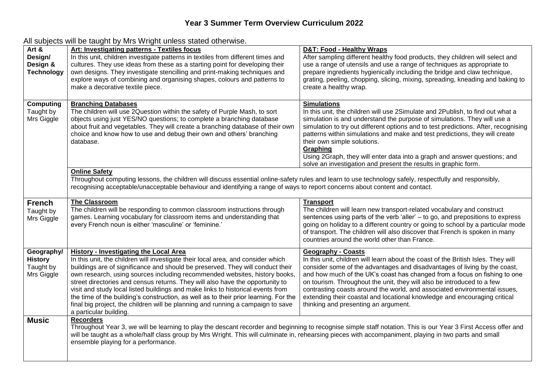| Art &<br>Design/<br>Design &<br><b>Technology</b>       | Art: Investigating patterns - Textiles focus<br>In this unit, children investigate patterns in textiles from different times and<br>cultures. They use ideas from these as a starting point for developing their<br>own designs. They investigate stencilling and print-making techniques and<br>explore ways of combining and organising shapes, colours and patterns to<br>make a decorative textile piece.                                                                                                                                                                                                                                                              | <b>D&amp;T: Food - Healthy Wraps</b><br>After sampling different healthy food products, they children will select and<br>use a range of utensils and use a range of techniques as appropriate to<br>prepare ingredients hygienically including the bridge and claw technique,<br>grating, peeling, chopping, slicing, mixing, spreading, kneading and baking to<br>create a healthy wrap.                                                                                                                                                            |
|---------------------------------------------------------|----------------------------------------------------------------------------------------------------------------------------------------------------------------------------------------------------------------------------------------------------------------------------------------------------------------------------------------------------------------------------------------------------------------------------------------------------------------------------------------------------------------------------------------------------------------------------------------------------------------------------------------------------------------------------|------------------------------------------------------------------------------------------------------------------------------------------------------------------------------------------------------------------------------------------------------------------------------------------------------------------------------------------------------------------------------------------------------------------------------------------------------------------------------------------------------------------------------------------------------|
| <b>Computing</b><br>Taught by<br>Mrs Giggle             | <b>Branching Databases</b><br>The children will use 2Question within the safety of Purple Mash, to sort<br>objects using just YES/NO questions; to complete a branching database<br>about fruit and vegetables. They will create a branching database of their own<br>choice and know how to use and debug their own and others' branching<br>database.<br><b>Online Safety</b><br>Throughout computing lessons, the children will discuss essential online-safety rules and learn to use technology safely, respectfully and responsibly,<br>recognising acceptable/unacceptable behaviour and identifying a range of ways to report concerns about content and contact.  | <b>Simulations</b><br>In this unit, the children will use 2Simulate and 2Publish, to find out what a<br>simulation is and understand the purpose of simulations. They will use a<br>simulation to try out different options and to test predictions. After, recognising<br>patterns within simulations and make and test predictions, they will create<br>their own simple solutions.<br>Graphing<br>Using 2Graph, they will enter data into a graph and answer questions; and<br>solve an investigation and present the results in graphic form.    |
| <b>French</b><br>Taught by<br>Mrs Giggle                | <b>The Classroom</b><br>The children will be responding to common classroom instructions through<br>games. Learning vocabulary for classroom items and understanding that<br>every French noun is either 'masculine' or 'feminine.'                                                                                                                                                                                                                                                                                                                                                                                                                                        | <b>Transport</b><br>The children will learn new transport-related vocabulary and construct<br>sentences using parts of the verb 'aller' - to go, and prepositions to express<br>going on holiday to a different country or going to school by a particular mode<br>of transport. The children will also discover that French is spoken in many<br>countries around the world other than France.                                                                                                                                                      |
| Geography/<br><b>History</b><br>Taught by<br>Mrs Giggle | <b>History - Investigating the Local Area</b><br>In this unit, the children will investigate their local area, and consider which<br>buildings are of significance and should be preserved. They will conduct their<br>own research, using sources including recommended websites, history books,<br>street directories and census returns. They will also have the opportunity to<br>visit and study local listed buildings and make links to historical events from<br>the time of the building's construction, as well as to their prior learning. For the<br>final big project, the children will be planning and running a campaign to save<br>a particular building. | <b>Geography - Coasts</b><br>In this unit, children will learn about the coast of the British Isles. They will<br>consider some of the advantages and disadvantages of living by the coast,<br>and how much of the UK's coast has changed from a focus on fishing to one<br>on tourism. Throughout the unit, they will also be introduced to a few<br>contrasting coasts around the world, and associated environmental issues,<br>extending their coastal and locational knowledge and encouraging critical<br>thinking and presenting an argument. |
| <b>Music</b>                                            | <b>Recorders</b><br>Throughout Year 3, we will be learning to play the descant recorder and beginning to recognise simple staff notation. This is our Year 3 First Access offer and<br>will be taught as a whole/half class group by Mrs Wright. This will culminate in, rehearsing pieces with accompaniment, playing in two parts and small<br>ensemble playing for a performance.                                                                                                                                                                                                                                                                                       |                                                                                                                                                                                                                                                                                                                                                                                                                                                                                                                                                      |